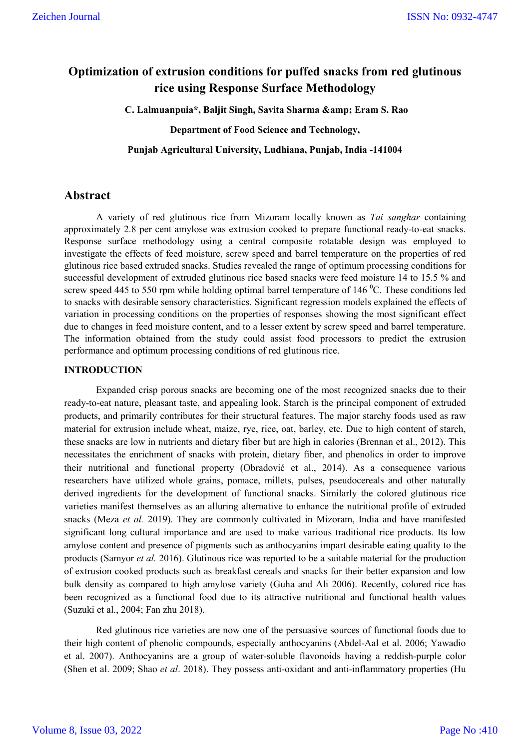# **Optimization of extrusion conditions for puffed snacks from red glutinous rice using Response Surface Methodology**

**C. Lalmuanpuia\*, Baljit Singh, Savita Sharma & Eram S. Rao**

**Department of Food Science and Technology,**

**Punjab Agricultural University, Ludhiana, Punjab, India -141004**

# **Abstract**

A variety of red glutinous rice from Mizoram locally known as *Tai sanghar* containing approximately 2.8 per cent amylose was extrusion cooked to prepare functional ready-to-eat snacks. Response surface methodology using a central composite rotatable design was employed to investigate the effects of feed moisture, screw speed and barrel temperature on the properties of red glutinous rice based extruded snacks. Studies revealed the range of optimum processing conditions for successful development of extruded glutinous rice based snacks were feed moisture 14 to 15.5 % and screw speed 445 to 550 rpm while holding optimal barrel temperature of 146  $^0$ C. These conditions led to snacks with desirable sensory characteristics. Significant regression models explained the effects of variation in processing conditions on the properties of responses showing the most significant effect due to changes in feed moisture content, and to a lesser extent by screw speed and barrel temperature. The information obtained from the study could assist food processors to predict the extrusion performance and optimum processing conditions of red glutinous rice.

### **INTRODUCTION**

Expanded crisp porous snacks are becoming one of the most recognized snacks due to their ready-to-eat nature, pleasant taste, and appealing look. Starch is the principal component of extruded products, and primarily contributes for their structural features. The major starchy foods used as raw material for extrusion include wheat, maize, rye, rice, oat, barley, etc. Due to high content of starch, these snacks are low in nutrients and dietary fiber but are high in calories (Brennan et al., 2012). This necessitates the enrichment of snacks with protein, dietary fiber, and phenolics in order to improve their nutritional and functional property (Obradović et al., 2014). As a consequence various researchers have utilized whole grains, pomace, millets, pulses, pseudocereals and other naturally derived ingredients for the development of functional snacks. Similarly the colored glutinous rice varieties manifest themselves as an alluring alternative to enhance the nutritional profile of extruded snacks (Meza *et al.* 2019). They are commonly cultivated in Mizoram, India and have manifested significant long cultural importance and are used to make various traditional rice products. Its low amylose content and presence of pigments such as anthocyanins impart desirable eating quality to the products (Samyor *et al.* 2016). Glutinous rice was reported to be a suitable material for the production of extrusion cooked products such as breakfast cereals and snacks for their better expansion and low bulk density as compared to high amylose variety (Guha and Ali 2006). Recently, colored rice has been recognized as a functional food due to its attractive nutritional and functional health values (Suzuki et al., 2004; Fan zhu 2018).

Red glutinous rice varieties are now one of the persuasive sources of functional foods due to their high content of phenolic compounds, especially anthocyanins (Abdel-Aal et al. 2006; Yawadio et al. 2007). Anthocyanins are a group of water-soluble flavonoids having a reddish-purple color (Shen et al. 2009; Shao *et al*. 2018). They possess anti-oxidant and anti-inflammatory properties (Hu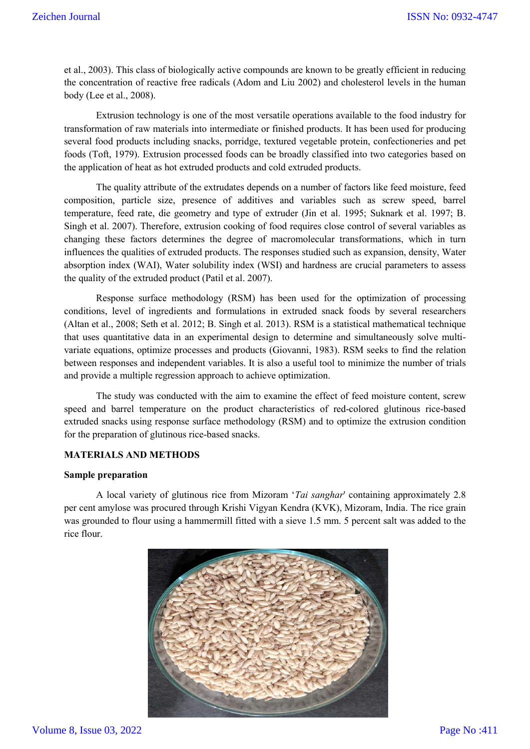et al., 2003). This class of biologically active compounds are known to be greatly efficient in reducing the concentration of reactive free radicals (Adom and Liu 2002) and cholesterol levels in the human body (Lee et al., 2008).

Extrusion technology is one of the most versatile operations available to the food industry for transformation of raw materials into intermediate or finished products. It has been used for producing several food products including snacks, porridge, textured vegetable protein, confectioneries and pet foods (Toft, 1979). Extrusion processed foods can be broadly classified into two categories based on the application of heat as hot extruded products and cold extruded products.

The quality attribute of the extrudates depends on a number of factors like feed moisture, feed composition, particle size, presence of additives and variables such as screw speed, barrel temperature, feed rate, die geometry and type of extruder (Jin et al. 1995; Suknark et al. 1997; B. Singh et al. 2007). Therefore, extrusion cooking of food requires close control of several variables as changing these factors determines the degree of macromolecular transformations, which in turn influences the qualities of extruded products. The responses studied such as expansion, density, Water absorption index (WAI), Water solubility index (WSI) and hardness are crucial parameters to assess the quality of the extruded product (Patil et al. 2007).

Response surface methodology (RSM) has been used for the optimization of processing conditions, level of ingredients and formulations in extruded snack foods by several researchers (Altan et al., 2008; Seth et al. 2012; B. Singh et al. 2013). RSM is a statistical mathematical technique that uses quantitative data in an experimental design to determine and simultaneously solve multivariate equations, optimize processes and products (Giovanni, 1983). RSM seeks to find the relation between responses and independent variables. It is also a useful tool to minimize the number of trials and provide a multiple regression approach to achieve optimization.

The study was conducted with the aim to examine the effect of feed moisture content, screw speed and barrel temperature on the product characteristics of red-colored glutinous rice-based extruded snacks using response surface methodology (RSM) and to optimize the extrusion condition for the preparation of glutinous rice-based snacks.

### **MATERIALS AND METHODS**

#### **Sample preparation**

A local variety of glutinous rice from Mizoram '*Tai sanghar*' containing approximately 2.8 per cent amylose was procured through Krishi Vigyan Kendra (KVK), Mizoram, India. The rice grain was grounded to flour using a hammermill fitted with a sieve 1.5 mm. 5 percent salt was added to the rice flour.

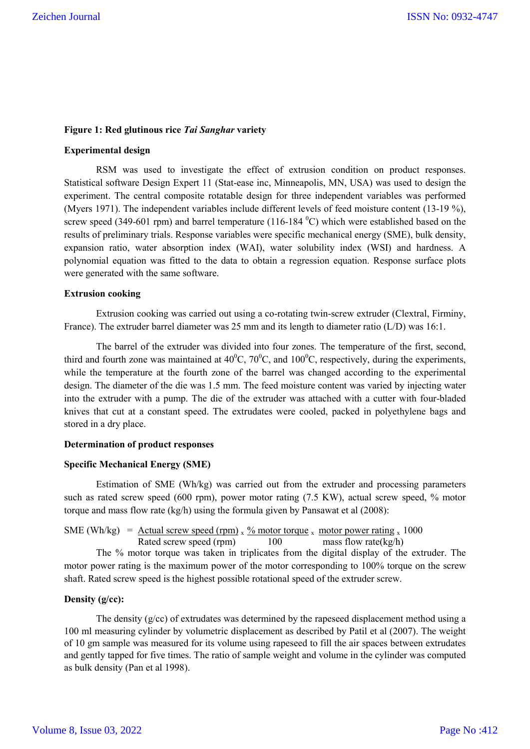### **Figure 1: Red glutinous rice** *Tai Sanghar* **variety**

### **Experimental design**

RSM was used to investigate the effect of extrusion condition on product responses. Statistical software Design Expert 11 (Stat-ease inc, Minneapolis, MN, USA) was used to design the experiment. The central composite rotatable design for three independent variables was performed (Myers 1971). The independent variables include different levels of feed moisture content (13-19 %), screw speed (349-601 rpm) and barrel temperature (116-184  $^{\circ}$ C) which were established based on the results of preliminary trials. Response variables were specific mechanical energy (SME), bulk density, expansion ratio, water absorption index (WAI), water solubility index (WSI) and hardness. A polynomial equation was fitted to the data to obtain a regression equation. Response surface plots were generated with the same software.

#### **Extrusion cooking**

Extrusion cooking was carried out using a co-rotating twin-screw extruder (Clextral, Firminy, France). The extruder barrel diameter was 25 mm and its length to diameter ratio (L/D) was 16:1.

The barrel of the extruder was divided into four zones. The temperature of the first, second, third and fourth zone was maintained at  $40^{\circ}$ C,  $70^{\circ}$ C, and  $100^{\circ}$ C, respectively, during the experiments, while the temperature at the fourth zone of the barrel was changed according to the experimental design. The diameter of the die was 1.5 mm. The feed moisture content was varied by injecting water into the extruder with a pump. The die of the extruder was attached with a cutter with four-bladed knives that cut at a constant speed. The extrudates were cooled, packed in polyethylene bags and stored in a dry place.

#### **Determination of product responses**

#### **Specific Mechanical Energy (SME)**

Estimation of SME (Wh/kg) was carried out from the extruder and processing parameters such as rated screw speed (600 rpm), power motor rating (7.5 KW), actual screw speed, % motor torque and mass flow rate (kg/h) using the formula given by Pansawat et al (2008):

# SME (Wh/kg) =  $\frac{\text{Actual screw speed (rpm)}{ \text{Red screw speed (rpm)}} \times \frac{\% \text{ motor torque}}{100} \times \frac{\text{motor power rating}}{\text{mass flow rate (kg/h)}}$ Rated screw speed (rpm)  $100$

The % motor torque was taken in triplicates from the digital display of the extruder. The motor power rating is the maximum power of the motor corresponding to 100% torque on the screw shaft. Rated screw speed is the highest possible rotational speed of the extruder screw.

#### **Density (g/cc):**

The density  $(g/cc)$  of extrudates was determined by the rapeseed displacement method using a 100 ml measuring cylinder by volumetric displacement as described by Patil et al (2007). The weight of 10 gm sample was measured for its volume using rapeseed to fill the air spaces between extrudates and gently tapped for five times. The ratio of sample weight and volume in the cylinder was computed as bulk density (Pan et al 1998).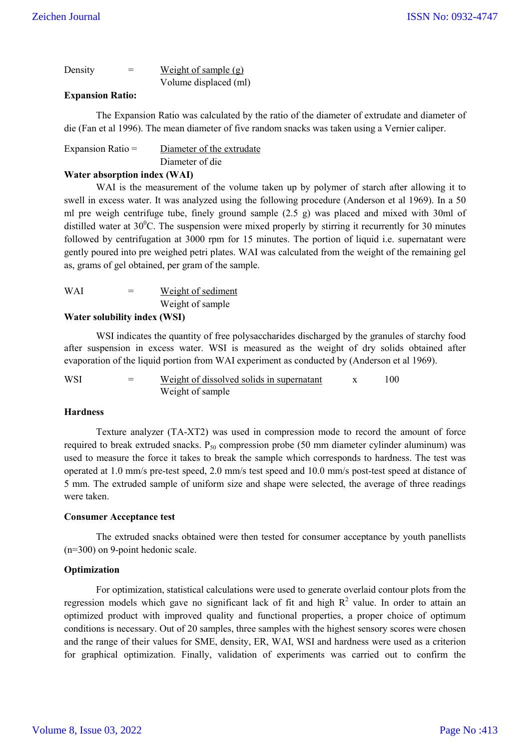| Density | $=$ | Weight of sample $(g)$ |
|---------|-----|------------------------|
|         |     | Volume displaced (ml)  |

### **Expansion Ratio:**

The Expansion Ratio was calculated by the ratio of the diameter of extrudate and diameter of die (Fan et al 1996). The mean diameter of five random snacks was taken using a Vernier caliper.

| Expansion Ratio $=$ | Diameter of the extrudate |
|---------------------|---------------------------|
|                     | Diameter of die           |

### **Water absorption index (WAI)**

WAI is the measurement of the volume taken up by polymer of starch after allowing it to swell in excess water. It was analyzed using the following procedure (Anderson et al 1969). In a 50 ml pre weigh centrifuge tube, finely ground sample (2.5 g) was placed and mixed with 30ml of distilled water at  $30^{\circ}$ C. The suspension were mixed properly by stirring it recurrently for 30 minutes followed by centrifugation at 3000 rpm for 15 minutes. The portion of liquid i.e. supernatant were gently poured into pre weighed petri plates. WAI was calculated from the weight of the remaining gel as, grams of gel obtained, per gram of the sample.

WAI = Weight of sediment Weight of sample

### **Water solubility index (WSI)**

WSI indicates the quantity of free polysaccharides discharged by the granules of starchy food after suspension in excess water. WSI is measured as the weight of dry solids obtained after evaporation of the liquid portion from WAI experiment as conducted by (Anderson et al 1969).

| WSI | $=$ | Weight of dissolved solids in supernatant | 100- |
|-----|-----|-------------------------------------------|------|
|     |     | Weight of sample                          |      |

### **Hardness**

Texture analyzer (TA-XT2) was used in compression mode to record the amount of force required to break extruded snacks.  $P_{50}$  compression probe (50 mm diameter cylinder aluminum) was used to measure the force it takes to break the sample which corresponds to hardness. The test was operated at 1.0 mm/s pre-test speed, 2.0 mm/s test speed and 10.0 mm/s post-test speed at distance of 5 mm. The extruded sample of uniform size and shape were selected, the average of three readings were taken.

### **Consumer Acceptance test**

The extruded snacks obtained were then tested for consumer acceptance by youth panellists (n=300) on 9-point hedonic scale.

### **Optimization**

For optimization, statistical calculations were used to generate overlaid contour plots from the regression models which gave no significant lack of fit and high  $R^2$  value. In order to attain an optimized product with improved quality and functional properties, a proper choice of optimum conditions is necessary. Out of 20 samples, three samples with the highest sensory scores were chosen and the range of their values for SME, density, ER, WAI, WSI and hardness were used as a criterion for graphical optimization. Finally, validation of experiments was carried out to confirm the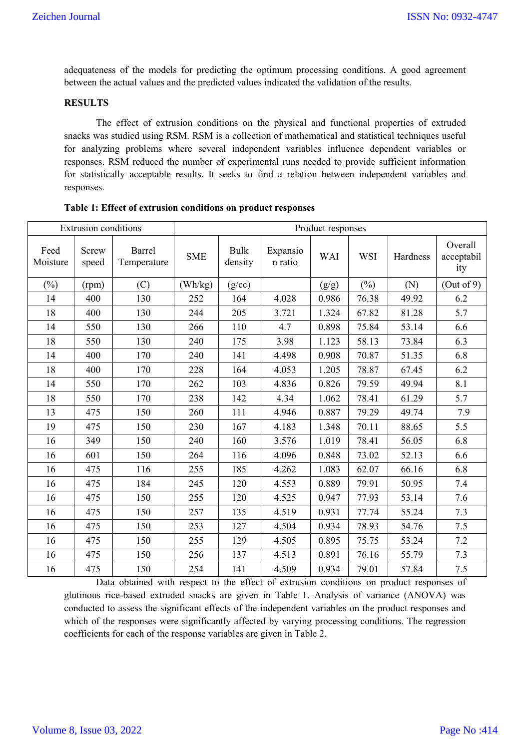adequateness of the models for predicting the optimum processing conditions. A good agreement between the actual values and the predicted values indicated the validation of the results.

### **RESULTS**

The effect of extrusion conditions on the physical and functional properties of extruded snacks was studied using RSM. RSM is a collection of mathematical and statistical techniques useful for analyzing problems where several independent variables influence dependent variables or responses. RSM reduced the number of experimental runs needed to provide sufficient information for statistically acceptable results. It seeks to find a relation between independent variables and responses.

| Extrusion conditions |                |                       | Product responses |                        |                     |            |            |          |                              |
|----------------------|----------------|-----------------------|-------------------|------------------------|---------------------|------------|------------|----------|------------------------------|
| Feed<br>Moisture     | Screw<br>speed | Barrel<br>Temperature | <b>SME</b>        | <b>Bulk</b><br>density | Expansio<br>n ratio | <b>WAI</b> | <b>WSI</b> | Hardness | Overall<br>acceptabil<br>ity |
| $(\%)$               | (rpm)          | (C)                   | (Wh/kg)           | (g/cc)                 |                     | (g/g)      | $(\%)$     | (N)      | (Out of 9)                   |
| 14                   | 400            | 130                   | 252               | 164                    | 4.028               | 0.986      | 76.38      | 49.92    | 6.2                          |
| 18                   | 400            | 130                   | 244               | 205                    | 3.721               | 1.324      | 67.82      | 81.28    | 5.7                          |
| 14                   | 550            | 130                   | 266               | 110                    | 4.7                 | 0.898      | 75.84      | 53.14    | 6.6                          |
| 18                   | 550            | 130                   | 240               | 175                    | 3.98                | 1.123      | 58.13      | 73.84    | 6.3                          |
| 14                   | 400            | 170                   | 240               | 141                    | 4.498               | 0.908      | 70.87      | 51.35    | 6.8                          |
| 18                   | 400            | 170                   | 228               | 164                    | 4.053               | 1.205      | 78.87      | 67.45    | 6.2                          |
| 14                   | 550            | 170                   | 262               | 103                    | 4.836               | 0.826      | 79.59      | 49.94    | 8.1                          |
| 18                   | 550            | 170                   | 238               | 142                    | 4.34                | 1.062      | 78.41      | 61.29    | 5.7                          |
| 13                   | 475            | 150                   | 260               | 111                    | 4.946               | 0.887      | 79.29      | 49.74    | 7.9                          |
| 19                   | 475            | 150                   | 230               | 167                    | 4.183               | 1.348      | 70.11      | 88.65    | 5.5                          |
| 16                   | 349            | 150                   | 240               | 160                    | 3.576               | 1.019      | 78.41      | 56.05    | 6.8                          |
| 16                   | 601            | 150                   | 264               | 116                    | 4.096               | 0.848      | 73.02      | 52.13    | 6.6                          |
| 16                   | 475            | 116                   | 255               | 185                    | 4.262               | 1.083      | 62.07      | 66.16    | 6.8                          |
| 16                   | 475            | 184                   | 245               | 120                    | 4.553               | 0.889      | 79.91      | 50.95    | 7.4                          |
| 16                   | 475            | 150                   | 255               | 120                    | 4.525               | 0.947      | 77.93      | 53.14    | 7.6                          |
| 16                   | 475            | 150                   | 257               | 135                    | 4.519               | 0.931      | 77.74      | 55.24    | 7.3                          |
| 16                   | 475            | 150                   | 253               | 127                    | 4.504               | 0.934      | 78.93      | 54.76    | 7.5                          |
| 16                   | 475            | 150                   | 255               | 129                    | 4.505               | 0.895      | 75.75      | 53.24    | 7.2                          |
| 16                   | 475            | 150                   | 256               | 137                    | 4.513               | 0.891      | 76.16      | 55.79    | 7.3                          |
| 16                   | 475            | 150                   | 254               | 141                    | 4.509               | 0.934      | 79.01      | 57.84    | 7.5                          |

**Table 1: Effect of extrusion conditions on product responses** 

Data obtained with respect to the effect of extrusion conditions on product responses of glutinous rice-based extruded snacks are given in Table 1. Analysis of variance (ANOVA) was conducted to assess the significant effects of the independent variables on the product responses and which of the responses were significantly affected by varying processing conditions. The regression coefficients for each of the response variables are given in Table 2.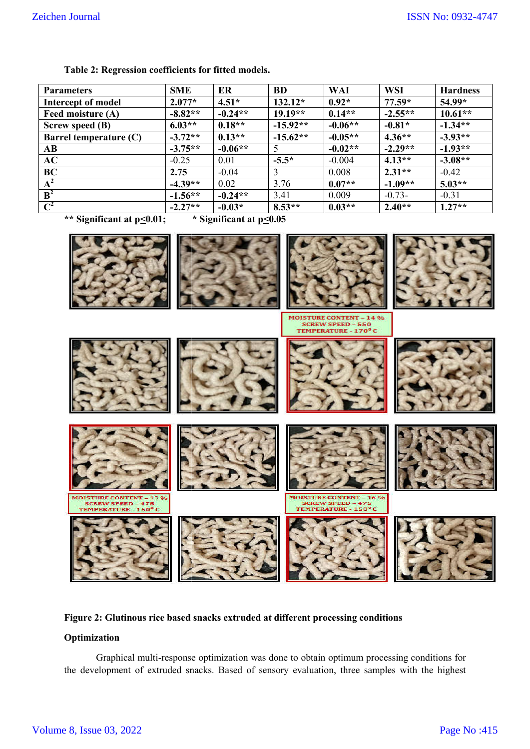| Table 2: Regression coefficients for fitted models. |            |           |                      |           |            |                 |
|-----------------------------------------------------|------------|-----------|----------------------|-----------|------------|-----------------|
| <b>Parameters</b>                                   | <b>SME</b> | ER        | <b>BD</b>            | WAI       | <b>WSI</b> | <b>Hardness</b> |
| Intercept of model                                  | $2.077*$   | $4.51*$   | $132.12*$            | $0.92*$   | $77.59*$   | $54.99*$        |
| Feed moisture (A)                                   | $-8.82**$  | $-0.24**$ | $19.19**$            | $0.14**$  | $-2.55**$  | $10.61**$       |
| Screw speed (B)                                     | $6.03**$   | $0.18**$  | $-15.92**$           | $-0.06**$ | $-0.81*$   | $-1.34**$       |
| Barrel temperature $(C)$                            | $-3.72**$  | $0.13**$  | $-15.62**$           | $-0.05**$ | $4.36**$   | $-3.93**$       |
| AB                                                  | $-3.75**$  | $-0.06**$ | 5                    | $-0.02**$ | $-2.29**$  | $-1.93**$       |
| AC                                                  | $-0.25$    | 0.01      | $-5.5*$              | $-0.004$  | $4.13**$   | $-3.08**$       |
| BC                                                  | 2.75       | $-0.04$   | 3                    | 0.008     | $2.31**$   | $-0.42$         |
| $A^2$                                               | $-4.39**$  | 0.02      | 3.76                 | $0.07**$  | $-1.09**$  | $5.03**$        |
| $B^2$                                               | $-1.56**$  | $-0.24**$ | 3.41                 | 0.009     | $-0.73-$   | $-0.31$         |
| $\mathbf{C}^2$                                      | $-2.27**$  | $-0.03*$  | $8.53**$             | $0.03**$  | $2.40**$   | $1.27**$        |
| $\cdots$<br>$\sim$ $\sim$ $\sim$                    | $\cdots$   |           | $\sim$ $\sim$ $\sim$ |           |            |                 |

**\*\* Significant at p<0.01;** 

**\* Significant at p<0.05**



### **Figure 2: Glutinous rice based snacks extruded at different processing conditions**

# **Optimization**

Graphical multi-response optimization was done to obtain optimum processing conditions for Graphical multi-response optimization was done to obtain optimum processing conditions for the development of extruded snacks. Based of sensory evaluation, three samples with the highest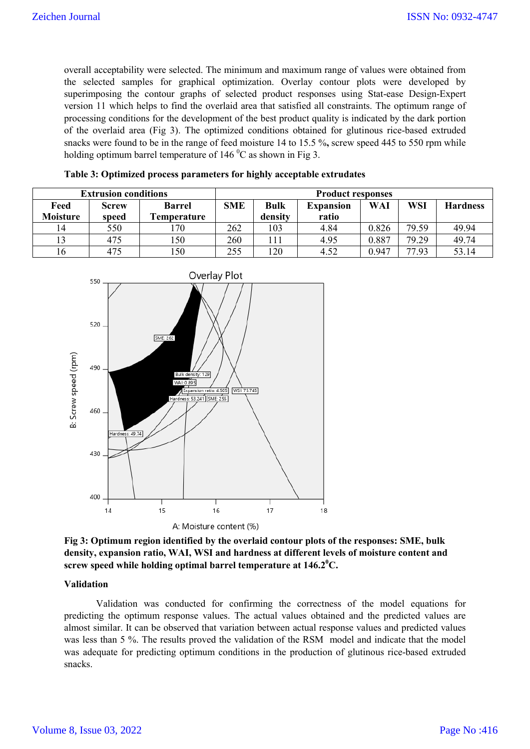overall acceptability were selected. The minimum and maximum range of values were obtained from the selected samples for graphical optimization. Overlay contour plots were developed by superimposing the contour graphs of selected product responses using Stat-ease Design-Expert version 11 which helps to find the overlaid area that satisfied all constraints. The optimum range of processing conditions for the development of the best product quality is indicated by the dark portion of the overlaid area (Fig 3). The optimized conditions obtained for glutinous rice-based extruded snacks were found to be in the range of feed moisture 14 to 15.5 %**,** screw speed 445 to 550 rpm while holding optimum barrel temperature of 146  $^0C$  as shown in Fig 3.

|                         | <b>Extrusion conditions</b> | <b>Product responses</b>            |            |                        |                           |       |            |                 |
|-------------------------|-----------------------------|-------------------------------------|------------|------------------------|---------------------------|-------|------------|-----------------|
| Feed<br><b>Moisture</b> | <b>Screw</b><br>speed       | <b>Barrel</b><br><b>Temperature</b> | <b>SME</b> | <b>Bulk</b><br>density | <b>Expansion</b><br>ratio | WAI   | <b>WSI</b> | <b>Hardness</b> |
| 14                      | 550                         | 170                                 | 262        | 103                    | 4.84                      | 0.826 | 79.59      | 49.94           |
|                         | 475                         | <b>150</b>                          | 260        |                        | 4.95                      | 0.887 | 79.29      | 49.74           |
| 16                      | 475                         | l 50                                | 255        | 120                    | 4.52                      | 0.947 | 77.93      | 53.14           |

|  |  | Table 3: Optimized process parameters for highly acceptable extrudates |  |  |  |  |
|--|--|------------------------------------------------------------------------|--|--|--|--|
|  |  |                                                                        |  |  |  |  |



**Fig 3: Optimum region identified by the overlaid contour plots of the responses: SME, bulk density, expansion ratio, WAI, WSI and hardness at different levels of moisture content and screw speed while holding optimal barrel temperature at 146.2<sup>0</sup> C.**

#### **Validation**

Validation was conducted for confirming the correctness of the model equations for predicting the optimum response values. The actual values obtained and the predicted values are almost similar. It can be observed that variation between actual response values and predicted values was less than 5 %. The results proved the validation of the RSM model and indicate that the model was adequate for predicting optimum conditions in the production of glutinous rice-based extruded snacks.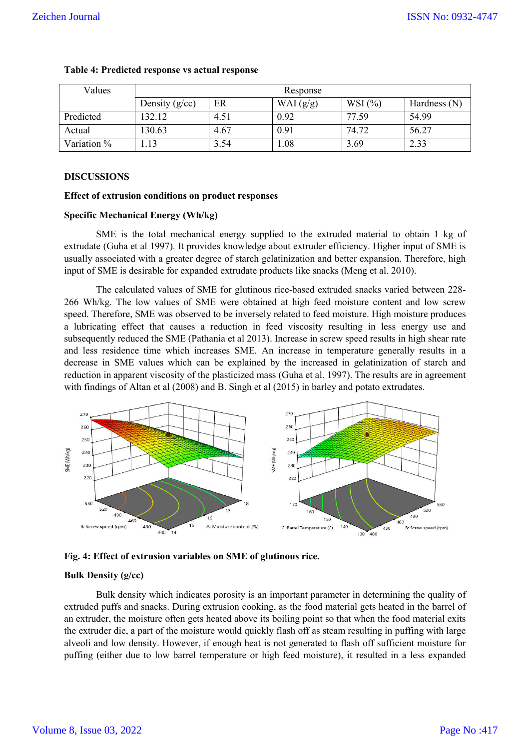| Values      | Response         |      |             |          |                |  |  |  |  |  |
|-------------|------------------|------|-------------|----------|----------------|--|--|--|--|--|
|             | Density $(g/cc)$ | ER   | WAI $(g/g)$ | WSI $(%$ | Hardness $(N)$ |  |  |  |  |  |
| Predicted   | 132.12           | 4.51 | 0.92        | 77.59    | 54.99          |  |  |  |  |  |
| Actual      | 130.63           | 4.67 | 0.91        | 74.72    | 56.27          |  |  |  |  |  |
| Variation % | .13              | 3.54 | 1.08        | 3.69     | 2.33           |  |  |  |  |  |

#### **Table 4: Predicted response vs actual response**

### **DISCUSSIONS**

### **Effect of extrusion conditions on product responses**

### **Specific Mechanical Energy (Wh/kg)**

SME is the total mechanical energy supplied to the extruded material to obtain 1 kg of extrudate (Guha et al 1997). It provides knowledge about extruder efficiency. Higher input of SME is usually associated with a greater degree of starch gelatinization and better expansion. Therefore, high input of SME is desirable for expanded extrudate products like snacks (Meng et al. 2010).

The calculated values of SME for glutinous rice-based extruded snacks varied between 228- 266 Wh/kg. The low values of SME were obtained at high feed moisture content and low screw speed. Therefore, SME was observed to be inversely related to feed moisture. High moisture produces a lubricating effect that causes a reduction in feed viscosity resulting in less energy use and subsequently reduced the SME (Pathania et al 2013). Increase in screw speed results in high shear rate and less residence time which increases SME. An increase in temperature generally results in a decrease in SME values which can be explained by the increased in gelatinization of starch and reduction in apparent viscosity of the plasticized mass (Guha et al. 1997). The results are in agreement with findings of Altan et al (2008) and B. Singh et al (2015) in barley and potato extrudates.



**Fig. 4: Effect of extrusion variables on SME of glutinous rice.**

### **Bulk Density (g/cc)**

Bulk density which indicates porosity is an important parameter in determining the quality of extruded puffs and snacks. During extrusion cooking, as the food material gets heated in the barrel of an extruder, the moisture often gets heated above its boiling point so that when the food material exits the extruder die, a part of the moisture would quickly flash off as steam resulting in puffing with large alveoli and low density. However, if enough heat is not generated to flash off sufficient moisture for puffing (either due to low barrel temperature or high feed moisture), it resulted in a less expanded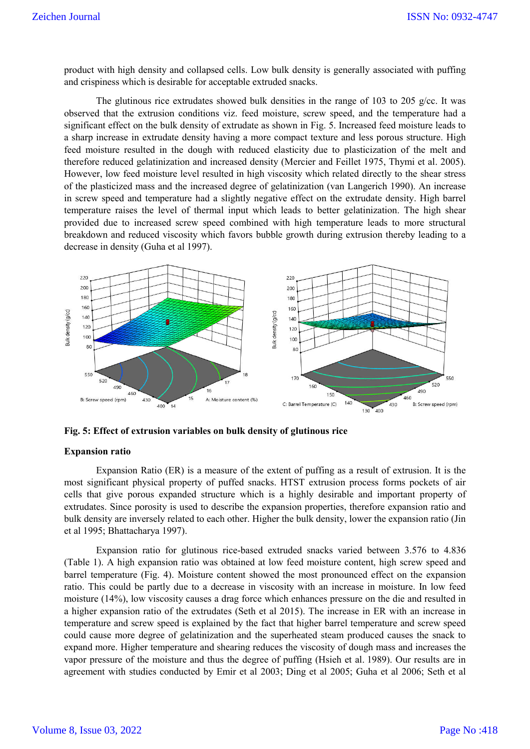product with high density and collapsed cells. Low bulk density is generally associated with puffing and crispiness which is desirable for acceptable extruded snacks.

The glutinous rice extrudates showed bulk densities in the range of 103 to 205 g/cc. It was observed that the extrusion conditions viz. feed moisture, screw speed, and the temperature had a significant effect on the bulk density of extrudate as shown in Fig. 5. Increased feed moisture leads to a sharp increase in extrudate density having a more compact texture and less porous structure. High feed moisture resulted in the dough with reduced elasticity due to plasticization of the melt and therefore reduced gelatinization and increased density (Mercier and Feillet 1975, Thymi et al. 2005). However, low feed moisture level resulted in high viscosity which related directly to the shear stress of the plasticized mass and the increased degree of gelatinization (van Langerich 1990). An increase in screw speed and temperature had a slightly negative effect on the extrudate density. High barrel temperature raises the level of thermal input which leads to better gelatinization. The high shear provided due to increased screw speed combined with high temperature leads to more structural breakdown and reduced viscosity which favors bubble growth during extrusion thereby leading to a decrease in density (Guha et al 1997).



**Fig. 5: Effect of extrusion variables on bulk density of glutinous rice**

#### **Expansion ratio**

Expansion Ratio (ER) is a measure of the extent of puffing as a result of extrusion. It is the most significant physical property of puffed snacks. HTST extrusion process forms pockets of air cells that give porous expanded structure which is a highly desirable and important property of extrudates. Since porosity is used to describe the expansion properties, therefore expansion ratio and bulk density are inversely related to each other. Higher the bulk density, lower the expansion ratio (Jin et al 1995; Bhattacharya 1997).

Expansion ratio for glutinous rice-based extruded snacks varied between 3.576 to 4.836 (Table 1). A high expansion ratio was obtained at low feed moisture content, high screw speed and barrel temperature (Fig. 4). Moisture content showed the most pronounced effect on the expansion ratio. This could be partly due to a decrease in viscosity with an increase in moisture. In low feed moisture (14%), low viscosity causes a drag force which enhances pressure on the die and resulted in a higher expansion ratio of the extrudates (Seth et al 2015). The increase in ER with an increase in temperature and screw speed is explained by the fact that higher barrel temperature and screw speed could cause more degree of gelatinization and the superheated steam produced causes the snack to expand more. Higher temperature and shearing reduces the viscosity of dough mass and increases the vapor pressure of the moisture and thus the degree of puffing (Hsieh et al. 1989). Our results are in agreement with studies conducted by Emir et al 2003; Ding et al 2005; Guha et al 2006; Seth et al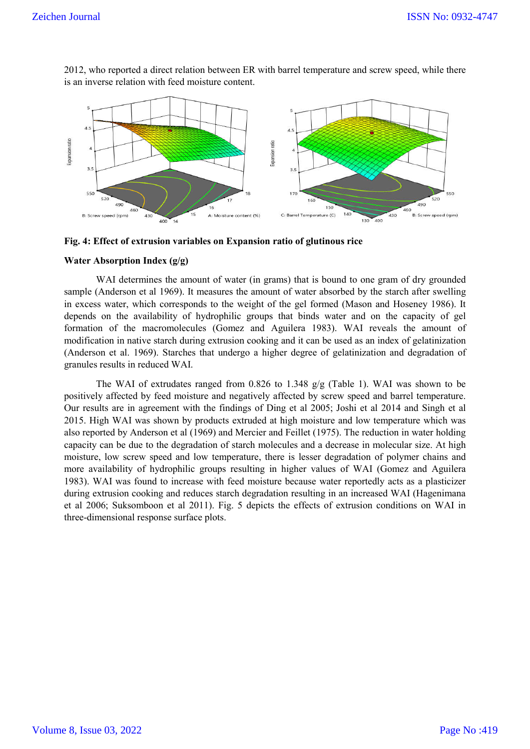

2012, who reported a direct relation between ER with barrel temperature and screw speed, while there is an inverse relation with feed moisture content.



#### **Water Absorption Index (g/g)**

WAI determines the amount of water (in grams) that is bound to one gram of dry grounded sample (Anderson et al 1969). It measures the amount of water absorbed by the starch after swelling in excess water, which corresponds to the weight of the gel formed (Mason and Hoseney 1986). It depends on the availability of hydrophilic groups that binds water and on the capacity of gel formation of the macromolecules (Gomez and Aguilera 1983). WAI reveals the amount of modification in native starch during extrusion cooking and it can be used as an index of gelatinization (Anderson et al. 1969). Starches that undergo a higher degree of gelatinization and degradation of granules results in reduced WAI.

The WAI of extrudates ranged from 0.826 to 1.348 g/g (Table 1). WAI was shown to be positively affected by feed moisture and negatively affected by screw speed and barrel temperature. Our results are in agreement with the findings of Ding et al 2005; Joshi et al 2014 and Singh et al 2015. High WAI was shown by products extruded at high moisture and low temperature which was also reported by Anderson et al (1969) and Mercier and Feillet (1975). The reduction in water holding capacity can be due to the degradation of starch molecules and a decrease in molecular size. At high moisture, low screw speed and low temperature, there is lesser degradation of polymer chains and more availability of hydrophilic groups resulting in higher values of WAI (Gomez and Aguilera 1983). WAI was found to increase with feed moisture because water reportedly acts as a plasticizer during extrusion cooking and reduces starch degradation resulting in an increased WAI (Hagenimana et al 2006; Suksomboon et al 2011). Fig. 5 depicts the effects of extrusion conditions on WAI in three-dimensional response surface plots.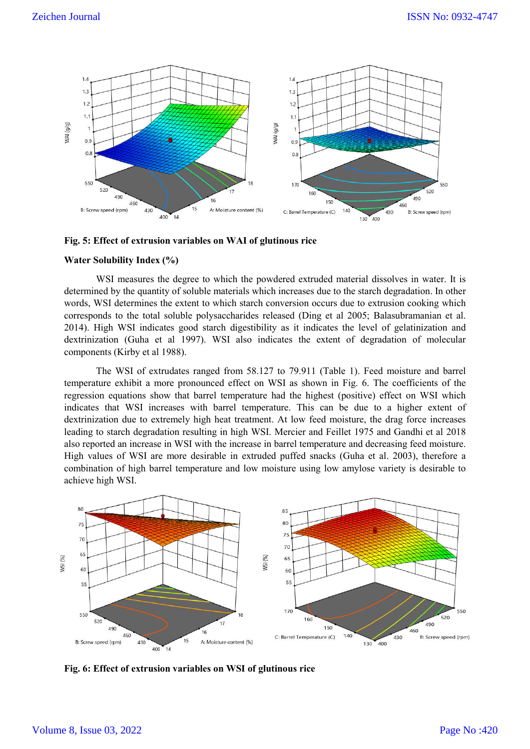

**Fig. 5: Effect of extrusion variables on WAI of glutinous rice**

#### **Water Solubility Index (%)**

WSI measures the degree to which the powdered extruded material dissolves in water. It is determined by the quantity of soluble materials which increases due to the starch degradation. In other words, WSI determines the extent to which starch conversion occurs due to extrusion cooking which corresponds to the total soluble polysaccharides released (Ding et al 2005; Balasubramanian et al. 2014). High WSI indicates good starch digestibility as it indicates the level of gelatinization and dextrinization (Guha et al 1997). WSI also indicates the extent of degradation of molecular components (Kirby et al 1988).

The WSI of extrudates ranged from 58.127 to 79.911 (Table 1). Feed moisture and barrel temperature exhibit a more pronounced effect on WSI as shown in Fig. 6. The coefficients of the regression equations show that barrel temperature had the highest (positive) effect on WSI which indicates that WSI increases with barrel temperature. This can be due to a higher extent of dextrinization due to extremely high heat treatment. At low feed moisture, the drag force increases leading to starch degradation resulting in high WSI. Mercier and Feillet 1975 and Gandhi et al 2018 also reported an increase in WSI with the increase in barrel temperature and decreasing feed moisture. High values of WSI are more desirable in extruded puffed snacks (Guha et al. 2003), therefore a combination of high barrel temperature and low moisture using low amylose variety is desirable to achieve high WSI.



**Fig. 6: Effect of extrusion variables on WSI of glutinous rice**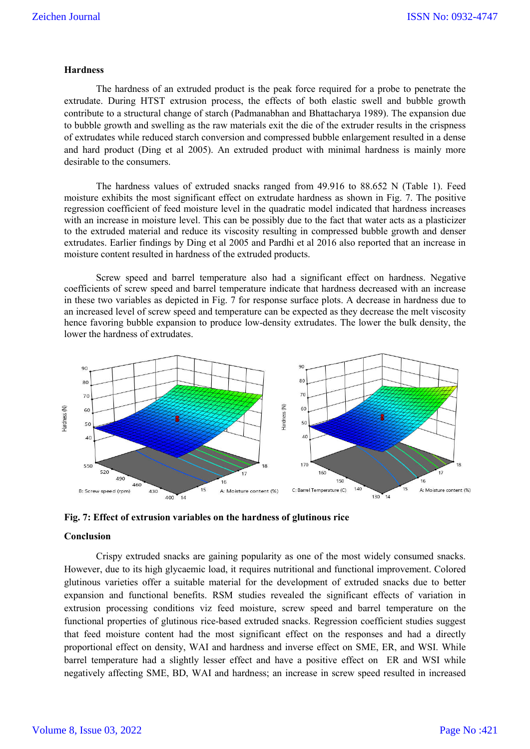#### **Hardness**

The hardness of an extruded product is the peak force required for a probe to penetrate the extrudate. During HTST extrusion process, the effects of both elastic swell and bubble growth contribute to a structural change of starch (Padmanabhan and Bhattacharya 1989). The expansion due to bubble growth and swelling as the raw materials exit the die of the extruder results in the crispness of extrudates while reduced starch conversion and compressed bubble enlargement resulted in a dense and hard product (Ding et al 2005). An extruded product with minimal hardness is mainly more desirable to the consumers.

The hardness values of extruded snacks ranged from 49.916 to 88.652 N (Table 1). Feed moisture exhibits the most significant effect on extrudate hardness as shown in Fig. 7. The positive regression coefficient of feed moisture level in the quadratic model indicated that hardness increases with an increase in moisture level. This can be possibly due to the fact that water acts as a plasticizer to the extruded material and reduce its viscosity resulting in compressed bubble growth and denser extrudates. Earlier findings by Ding et al 2005 and Pardhi et al 2016 also reported that an increase in moisture content resulted in hardness of the extruded products.

Screw speed and barrel temperature also had a significant effect on hardness. Negative coefficients of screw speed and barrel temperature indicate that hardness decreased with an increase in these two variables as depicted in Fig. 7 for response surface plots. A decrease in hardness due to an increased level of screw speed and temperature can be expected as they decrease the melt viscosity hence favoring bubble expansion to produce low-density extrudates. The lower the bulk density, the lower the hardness of extrudates.





#### **Conclusion**

Crispy extruded snacks are gaining popularity as one of the most widely consumed snacks. However, due to its high glycaemic load, it requires nutritional and functional improvement. Colored glutinous varieties offer a suitable material for the development of extruded snacks due to better expansion and functional benefits. RSM studies revealed the significant effects of variation in extrusion processing conditions viz feed moisture, screw speed and barrel temperature on the functional properties of glutinous rice-based extruded snacks. Regression coefficient studies suggest that feed moisture content had the most significant effect on the responses and had a directly proportional effect on density, WAI and hardness and inverse effect on SME, ER, and WSI. While barrel temperature had a slightly lesser effect and have a positive effect on ER and WSI while negatively affecting SME, BD, WAI and hardness; an increase in screw speed resulted in increased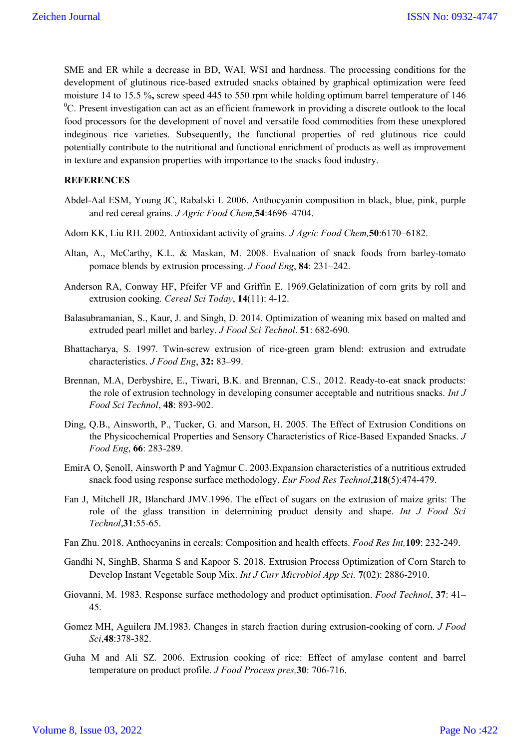SME and ER while a decrease in BD, WAI, WSI and hardness. The processing conditions for the development of glutinous rice-based extruded snacks obtained by graphical optimization were feed moisture 14 to 15.5 %**,** screw speed 445 to 550 rpm while holding optimum barrel temperature of 146  ${}^{0}C$ . Present investigation can act as an efficient framework in providing a discrete outlook to the local food processors for the development of novel and versatile food commodities from these unexplored indeginous rice varieties. Subsequently, the functional properties of red glutinous rice could potentially contribute to the nutritional and functional enrichment of products as well as improvement in texture and expansion properties with importance to the snacks food industry.

### **REFERENCES**

- Abdel-Aal ESM, Young JC, Rabalski I. 2006. Anthocyanin composition in black, blue, pink, purple and red cereal grains. *J Agric Food Chem,***54**:4696–4704.
- Adom KK, Liu RH. 2002. Antioxidant activity of grains. *J Agric Food Chem,***50**:6170–6182.
- Altan, A., McCarthy, K.L. & Maskan, M. 2008. Evaluation of snack foods from barley-tomato pomace blends by extrusion processing. *J Food Eng*, **84**: 231–242.
- Anderson RA, Conway HF, Pfeifer VF and Griffin E. 1969.Gelatinization of corn grits by roll and extrusion cooking. *Cereal Sci Today*, **14**(11): 4-12.
- Balasubramanian, S., Kaur, J. and Singh, D. 2014. Optimization of weaning mix based on malted and extruded pearl millet and barley. *J Food Sci Technol*. **51**: 682-690.
- Bhattacharya, S. 1997. Twin-screw extrusion of rice-green gram blend: extrusion and extrudate characteristics. *J Food Eng*, **32:** 83–99.
- Brennan, M.A, Derbyshire, E., Tiwari, B.K. and Brennan, C.S., 2012. Ready-to-eat snack products: the role of extrusion technology in developing consumer acceptable and nutritious snacks. *Int J Food Sci Technol*, **48**: 893-902.
- Ding, Q.B., Ainsworth, P., Tucker, G. and Marson, H. 2005. The Effect of Extrusion Conditions on the Physicochemical Properties and Sensory Characteristics of Rice-Based Expanded Snacks. *J Food Eng*, **66**: 283-289.
- EmirA O, ŞenolI, Ainsworth P and Yağmur C. 2003.Expansion characteristics of a nutritious extruded snack food using response surface methodology. *Eur Food Res Technol*,**218**(5):474-479.
- Fan J, Mitchell JR, Blanchard JMV.1996. The effect of sugars on the extrusion of maize grits: The role of the glass transition in determining product density and shape. *Int J Food Sci Technol*,**31**:55-65.
- Fan Zhu. 2018. Anthocyanins in cereals: Composition and health effects. *Food Res Int,***109**: 232-249.
- Gandhi N, SinghB, Sharma S and Kapoor S. 2018. Extrusion Process Optimization of Corn Starch to Develop Instant Vegetable Soup Mix. *Int J Curr Microbiol App Sci.* **7**(02): 2886-2910.
- Giovanni, M. 1983. Response surface methodology and product optimisation. *Food Technol*, **37**: 41– 45.
- Gomez MH, Aguilera JM.1983. Changes in starch fraction during extrusion-cooking of corn. *J Food Sci*,**48**:378-382.
- Guha M and Ali SZ. 2006. Extrusion cooking of rice: Effect of amylase content and barrel temperature on product profile. *J Food Process pres,***30**: 706-716.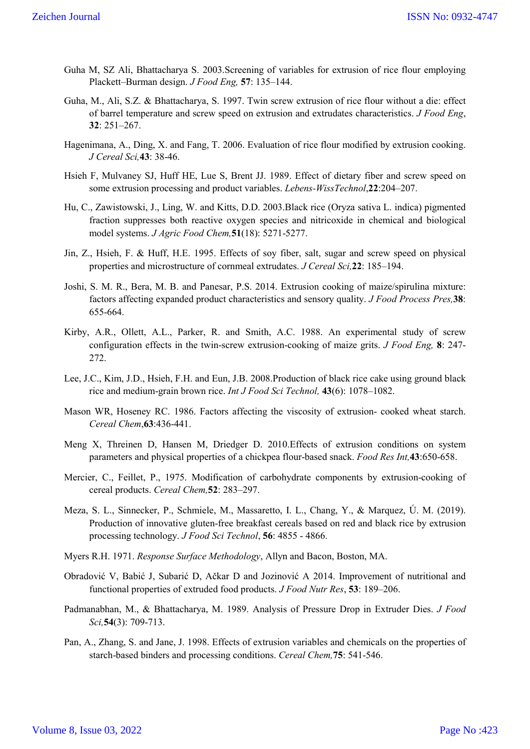- Guha M, SZ Ali, Bhattacharya S. 2003.Screening of variables for extrusion of rice flour employing Plackett–Burman design. *J Food Eng,* **57**: 135–144.
- Guha, M., Ali, S.Z. & Bhattacharya, S. 1997. Twin screw extrusion of rice flour without a die: effect of barrel temperature and screw speed on extrusion and extrudates characteristics. *J Food Eng*, **32**: 251–267.
- Hagenimana, A., Ding, X. and Fang, T. 2006. Evaluation of rice flour modified by extrusion cooking. *J Cereal Sci,***43**: 38-46.
- Hsieh F, Mulvaney SJ, Huff HE, Lue S, Brent JJ. 1989. Effect of dietary fiber and screw speed on some extrusion processing and product variables. *Lebens-WissTechnol*,**22**:204–207.
- Hu, C., Zawistowski, J., Ling, W. and Kitts, D.D. 2003.Black rice (Oryza sativa L. indica) pigmented fraction suppresses both reactive oxygen species and nitricoxide in chemical and biological model systems. *J Agric Food Chem,***51**(18): 5271-5277.
- Jin, Z., Hsieh, F. & Huff, H.E. 1995. Effects of soy fiber, salt, sugar and screw speed on physical properties and microstructure of cornmeal extrudates. *J Cereal Sci,***22**: 185–194.
- Joshi, S. M. R., Bera, M. B. and Panesar, P.S. 2014. Extrusion cooking of maize/spirulina mixture: factors affecting expanded product characteristics and sensory quality. *J Food Process Pres,***38**: 655-664.
- Kirby, A.R., Ollett, A.L., Parker, R. and Smith, A.C. 1988. An experimental study of screw configuration effects in the twin-screw extrusion-cooking of maize grits. *J Food Eng,* **8**: 247- 272.
- Lee, J.C., Kim, J.D., Hsieh, F.H. and Eun, J.B. 2008.Production of black rice cake using ground black rice and medium-grain brown rice. *Int J Food Sci Technol,* **43**(6): 1078–1082.
- Mason WR, Hoseney RC. 1986. Factors affecting the viscosity of extrusion- cooked wheat starch. *Cereal Chem*,**63**:436-441.
- Meng X, Threinen D, Hansen M, Driedger D. 2010.Effects of extrusion conditions on system parameters and physical properties of a chickpea flour-based snack. *Food Res Int,***43**:650-658.
- Mercier, C., Feillet, P., 1975. Modification of carbohydrate components by extrusion-cooking of cereal products. *Cereal Chem,***52**: 283–297.
- Meza, S. L., Sinnecker, P., Schmiele, M., Massaretto, I. L., Chang, Y., & Marquez, Ú. M. (2019). Production of innovative gluten-free breakfast cereals based on red and black rice by extrusion processing technology. *J Food Sci Technol*, **56**: 4855 - 4866.
- Myers R.H. 1971. *Response Surface Methodology*, Allyn and Bacon, Boston, MA.
- Obradović V, Babić J, Subarić D, Ačkar D and Jozinović A 2014. Improvement of nutritional and functional properties of extruded food products. *J Food Nutr Res*, **53**: 189–206.
- Padmanabhan, M., & Bhattacharya, M. 1989. Analysis of Pressure Drop in Extruder Dies. *J Food Sci,***54**(3): 709-713.
- Pan, A., Zhang, S. and Jane, J. 1998. Effects of extrusion variables and chemicals on the properties of starch-based binders and processing conditions. *Cereal Chem,***75**: 541-546.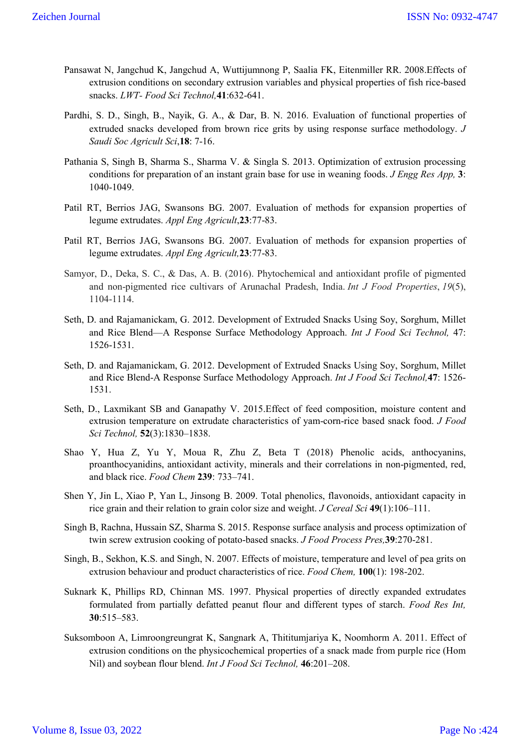- Pansawat N, Jangchud K, Jangchud A, Wuttijumnong P, Saalia FK, Eitenmiller RR. 2008.Effects of extrusion conditions on secondary extrusion variables and physical properties of fish rice-based snacks. *LWT- Food Sci Technol,***41**:632-641.
- Pardhi, S. D., Singh, B., Nayik, G. A., & Dar, B. N. 2016. Evaluation of functional properties of extruded snacks developed from brown rice grits by using response surface methodology. *J Saudi Soc Agricult Sci*,**18**: 7-16.
- Pathania S, Singh B, Sharma S., Sharma V. & Singla S. 2013. Optimization of extrusion processing conditions for preparation of an instant grain base for use in weaning foods. *J Engg Res App,* **3**: 1040-1049.
- Patil RT, Berrios JAG, Swansons BG. 2007. Evaluation of methods for expansion properties of legume extrudates. *Appl Eng Agricult*,**23**:77-83.
- Patil RT, Berrios JAG, Swansons BG. 2007. Evaluation of methods for expansion properties of legume extrudates. *Appl Eng Agricult,***23**:77-83.
- Samyor, D., Deka, S. C., & Das, A. B. (2016). Phytochemical and antioxidant profile of pigmented and non-pigmented rice cultivars of Arunachal Pradesh, India. *Int J Food Properties*, *19*(5), 1104-1114.
- Seth, D. and Rajamanickam, G. 2012. Development of Extruded Snacks Using Soy, Sorghum, Millet and Rice Blend—A Response Surface Methodology Approach. *Int J Food Sci Technol,* 47: 1526-1531.
- Seth, D. and Rajamanickam, G. 2012. Development of Extruded Snacks Using Soy, Sorghum, Millet and Rice Blend-A Response Surface Methodology Approach. *Int J Food Sci Technol,***47**: 1526- 1531.
- Seth, D., Laxmikant SB and Ganapathy V. 2015.Effect of feed composition, moisture content and extrusion temperature on extrudate characteristics of yam-corn-rice based snack food. *J Food Sci Technol,* **52**(3):1830–1838.
- Shao Y, Hua Z, Yu Y, Moua R, Zhu Z, Beta T (2018) Phenolic acids, anthocyanins, proanthocyanidins, antioxidant activity, minerals and their correlations in non-pigmented, red, and black rice. *Food Chem* **239**: 733–741.
- Shen Y, Jin L, Xiao P, Yan L, Jinsong B. 2009. Total phenolics, flavonoids, antioxidant capacity in rice grain and their relation to grain color size and weight. *J Cereal Sci* **49**(1):106–111.
- Singh B, Rachna, Hussain SZ, Sharma S. 2015. Response surface analysis and process optimization of twin screw extrusion cooking of potato-based snacks. *J Food Process Pres,***39**:270-281.
- Singh, B., Sekhon, K.S. and Singh, N. 2007. Effects of moisture, temperature and level of pea grits on extrusion behaviour and product characteristics of rice. *Food Chem,* **100**(1): 198-202.
- Suknark K, Phillips RD, Chinnan MS. 1997. Physical properties of directly expanded extrudates formulated from partially defatted peanut flour and different types of starch. *Food Res Int,*  **30**:515–583.
- Suksomboon A, Limroongreungrat K, Sangnark A, Thititumjariya K, Noomhorm A. 2011. Effect of extrusion conditions on the physicochemical properties of a snack made from purple rice (Hom Nil) and soybean flour blend. *Int J Food Sci Technol,* **46**:201–208.